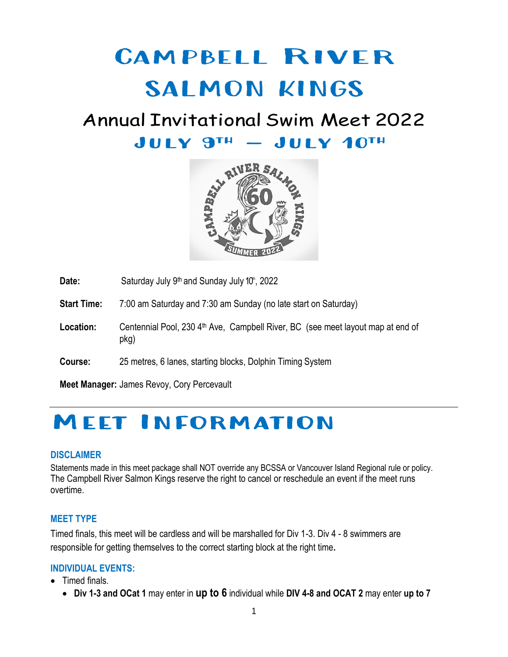# Campbell River SALMON KINGS

## Annual Invitational Swim Meet 2022  $JULY$   $9<sup>TH</sup> - JULY$   $10<sup>TH</sup>$



Date: Saturday July 9<sup>th</sup> and Sunday July 10<sup>th</sup>, 2022

**Start Time:** 7:00 am Saturday and 7:30 am Sunday (no late start on Saturday)

Location: Centennial Pool, 230 4<sup>th</sup> Ave, Campbell River, BC (see meet layout map at end of pkg)

**Course:** 25 metres, 6 lanes, starting blocks, Dolphin Timing System

**Meet Manager:** James Revoy, Cory Percevault

## Meet Information

#### **DISCLAIMER**

Statements made in this meet package shall NOT override any BCSSA or Vancouver Island Regional rule or policy. The Campbell River Salmon Kings reserve the right to cancel or reschedule an event if the meet runs overtime.

#### **MEET TYPE**

Timed finals, this meet will be cardless and will be marshalled for Div 1-3. Div 4 - 8 swimmers are responsible for getting themselves to the correct starting block at the right time**.**

#### **INDIVIDUAL EVENTS:**

- Timed finals.
	- **Div 1-3 and OCat 1** may enter in **up to 6** individual while **DIV 4-8 and OCAT 2** may enter **up to 7**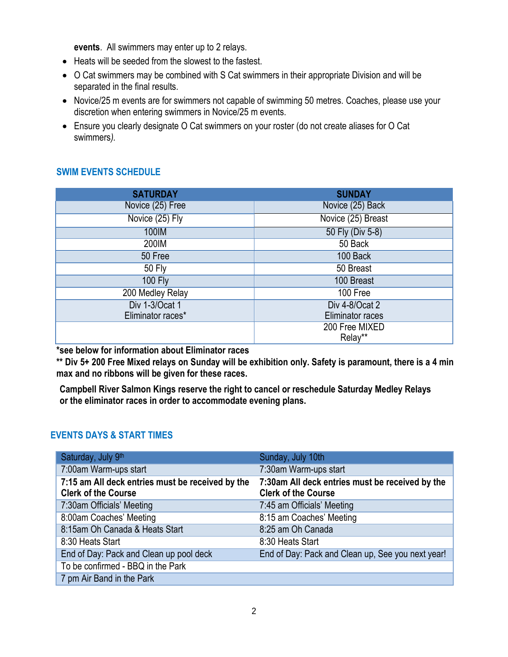**events**. All swimmers may enter up to 2 relays.

- Heats will be seeded from the slowest to the fastest.
- O Cat swimmers may be combined with S Cat swimmers in their appropriate Division and will be separated in the final results.
- Novice/25 m events are for swimmers not capable of swimming 50 metres. Coaches, please use your discretion when entering swimmers in Novice/25 m events.
- Ensure you clearly designate O Cat swimmers on your roster (do not create aliases for O Cat swimmers*).*

#### **SWIM EVENTS SCHEDULE**

| <b>SATURDAY</b>   | <b>SUNDAY</b>      |
|-------------------|--------------------|
| Novice (25) Free  | Novice (25) Back   |
| Novice (25) Fly   | Novice (25) Breast |
| 100IM             | 50 Fly (Div 5-8)   |
| 200IM             | 50 Back            |
| 50 Free           | 100 Back           |
| 50 Fly            | 50 Breast          |
| <b>100 Fly</b>    | 100 Breast         |
| 200 Medley Relay  | 100 Free           |
| Div 1-3/Ocat 1    | Div 4-8/Ocat 2     |
| Eliminator races* | Eliminator races   |
|                   | 200 Free MIXED     |
|                   | Relay**            |

**\*see below for information about Eliminator races**

**\*\* Div 5+ 200 Free Mixed relays on Sunday will be exhibition only. Safety is paramount, there is a 4 min max and no ribbons will be given for these races.**

**Campbell River Salmon Kings reserve the right to cancel or reschedule Saturday Medley Relays or the eliminator races in order to accommodate evening plans.**

#### **EVENTS DAYS & START TIMES**

| Saturday, July 9th                                                             | Sunday, July 10th                                                             |
|--------------------------------------------------------------------------------|-------------------------------------------------------------------------------|
| 7:00am Warm-ups start                                                          | 7:30am Warm-ups start                                                         |
| 7:15 am All deck entries must be received by the<br><b>Clerk of the Course</b> | 7:30am All deck entries must be received by the<br><b>Clerk of the Course</b> |
| 7:30am Officials' Meeting                                                      | 7:45 am Officials' Meeting                                                    |
| 8:00am Coaches' Meeting                                                        | 8:15 am Coaches' Meeting                                                      |
| 8:15am Oh Canada & Heats Start                                                 | 8:25 am Oh Canada                                                             |
| 8:30 Heats Start                                                               | 8:30 Heats Start                                                              |
| End of Day: Pack and Clean up pool deck                                        | End of Day: Pack and Clean up, See you next year!                             |
| To be confirmed - BBQ in the Park                                              |                                                                               |
| 7 pm Air Band in the Park                                                      |                                                                               |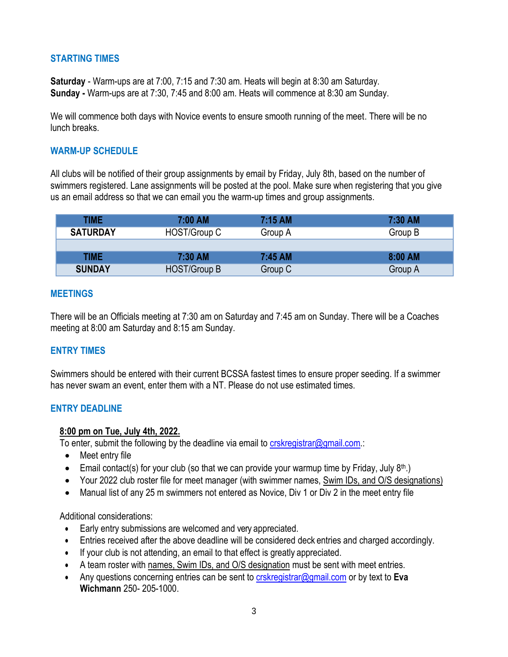#### **STARTING TIMES**

**Saturday** - Warm-ups are at 7:00, 7:15 and 7:30 am. Heats will begin at 8:30 am Saturday. **Sunday -** Warm-ups are at 7:30, 7:45 and 8:00 am. Heats will commence at 8:30 am Sunday.

We will commence both days with Novice events to ensure smooth running of the meet. There will be no lunch breaks.

#### **WARM-UP SCHEDULE**

All clubs will be notified of their group assignments by email by Friday, July 8th, based on the number of swimmers registered. Lane assignments will be posted at the pool. Make sure when registering that you give us an email address so that we can email you the warm-up times and group assignments.

| <b>TIME</b>     | $7:00$ AM    | $7:15$ AM | 7:30 AM |
|-----------------|--------------|-----------|---------|
| <b>SATURDAY</b> | HOST/Group C | Group A   | Group B |
|                 |              |           |         |
| TIME            | 7:30 AM      | 7:45 AM   | 8:00 AM |
| <b>SUNDAY</b>   | HOST/Group B | Group C   | Group A |

#### **MEETINGS**

There will be an Officials meeting at 7:30 am on Saturday and 7:45 am on Sunday. There will be a Coaches meeting at 8:00 am Saturday and 8:15 am Sunday.

#### **ENTRY TIMES**

Swimmers should be entered with their current BCSSA fastest times to ensure proper seeding. If a swimmer has never swam an event, enter them with a NT. Please do not use estimated times.

#### **ENTRY DEADLINE**

#### **8:00 pm on Tue, July 4th, 2022.**

To enter, submit the following by the deadline via email to [crskregistrar@gmail.com.:](mailto:crskregistrar@gmail.com)

- Meet entry file
- Email contact(s) for your club (so that we can provide your warmup time by Friday, July  $8<sup>th</sup>$ .)
- Your 2022 club roster file for meet manager (with swimmer names, Swim IDs, and O/S designations)
- Manual list of any 25 m swimmers not entered as Novice, Div 1 or Div 2 in the meet entry file

Additional considerations:

- Early entry submissions are welcomed and very appreciated.
- Entries received after the above deadline will be considered deck entries and charged accordingly.
- If your club is not attending, an email to that effect is greatly appreciated.
- A team roster with names, Swim IDs, and O/S designation must be sent with meet entries.
- Any questions concerning entries can be sent to [crskregistrar@gmail.com](mailto:crskregistrar@gmail.com) or by text to **Eva Wichmann** 250- 205-1000.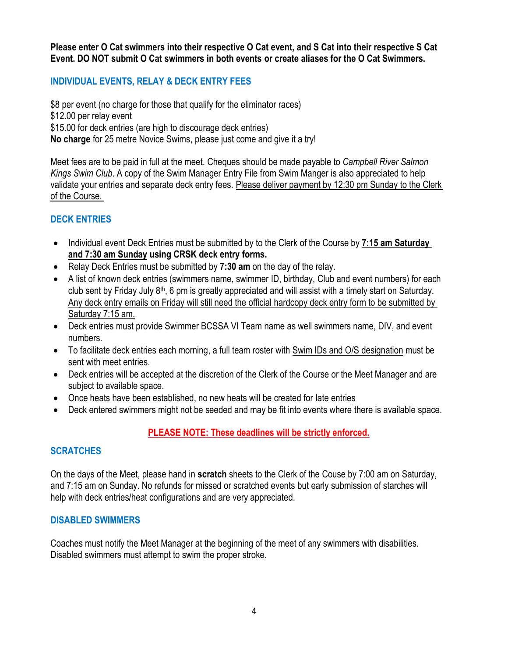**Please enter O Cat swimmers into their respective O Cat event, and S Cat into their respective S Cat Event. DO NOT submit O Cat swimmers in both events or create aliases for the O Cat Swimmers.**

#### **INDIVIDUAL EVENTS, RELAY & DECK ENTRY FEES**

\$8 per event (no charge for those that qualify for the eliminator races) \$12.00 per relay event \$15.00 for deck entries (are high to discourage deck entries) **No charge** for 25 metre Novice Swims, please just come and give it a try!

Meet fees are to be paid in full at the meet. Cheques should be made payable to *Campbell River Salmon Kings Swim Club*. A copy of the Swim Manager Entry File from Swim Manger is also appreciated to help validate your entries and separate deck entry fees. Please deliver payment by 12:30 pm Sunday to the Clerk of the Course.

#### **DECK ENTRIES**

- Individual event Deck Entries must be submitted by to the Clerk of the Course by **7:15 am Saturday and 7:30 am Sunday using CRSK deck entry forms.**
- Relay Deck Entries must be submitted by **7:30 am** on the day of the relay.
- A list of known deck entries (swimmers name, swimmer ID, birthday, Club and event numbers) for each club sent by Friday July 8<sup>th</sup>, 6 pm is greatly appreciated and will assist with a timely start on Saturday. Any deck entry emails on Friday will still need the official hardcopy deck entry form to be submitted by Saturday 7:15 am.
- Deck entries must provide Swimmer BCSSA VI Team name as well swimmers name, DIV, and event numbers.
- To facilitate deck entries each morning, a full team roster with Swim IDs and O/S designation must be sent with meet entries.
- Deck entries will be accepted at the discretion of the Clerk of the Course or the Meet Manager and are subject to available space.
- Once heats have been established, no new heats will be created for late entries
- Deck entered swimmers might not be seeded and may be fit into events where there is available space.

#### **PLEASE NOTE: These deadlines will be strictly enforced.**

#### **SCRATCHES**

On the days of the Meet, please hand in **scratch** sheets to the Clerk of the Couse by 7:00 am on Saturday, and 7:15 am on Sunday. No refunds for missed or scratched events but early submission of starches will help with deck entries/heat configurations and are very appreciated.

#### **DISABLED SWIMMERS**

Coaches must notify the Meet Manager at the beginning of the meet of any swimmers with disabilities. Disabled swimmers must attempt to swim the proper stroke.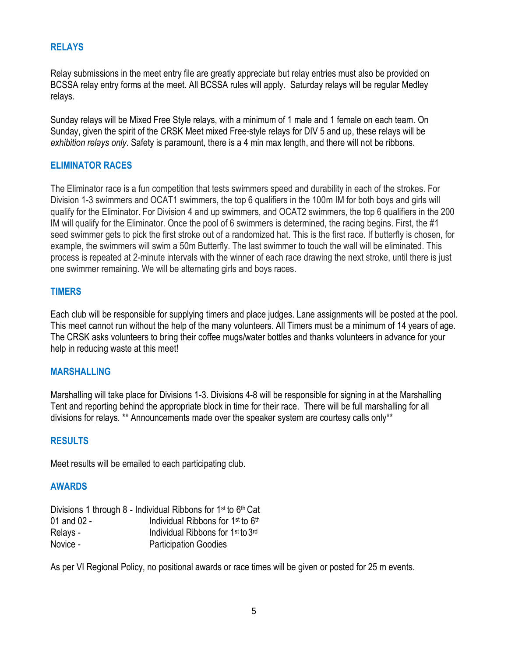#### **RELAYS**

Relay submissions in the meet entry file are greatly appreciate but relay entries must also be provided on BCSSA relay entry forms at the meet. All BCSSA rules will apply. Saturday relays will be regular Medley relays.

Sunday relays will be Mixed Free Style relays, with a minimum of 1 male and 1 female on each team. On Sunday, given the spirit of the CRSK Meet mixed Free-style relays for DIV 5 and up, these relays will be *exhibition relays only*. Safety is paramount, there is a 4 min max length, and there will not be ribbons.

#### **ELIMINATOR RACES**

The Eliminator race is a fun competition that tests swimmers speed and durability in each of the strokes. For Division 1-3 swimmers and OCAT1 swimmers, the top 6 qualifiers in the 100m IM for both boys and girls will qualify for the Eliminator. For Division 4 and up swimmers, and OCAT2 swimmers, the top 6 qualifiers in the 200 IM will qualify for the Eliminator. Once the pool of 6 swimmers is determined, the racing begins. First, the #1 seed swimmer gets to pick the first stroke out of a randomized hat. This is the first race. If butterfly is chosen, for example, the swimmers will swim a 50m Butterfly. The last swimmer to touch the wall will be eliminated. This process is repeated at 2-minute intervals with the winner of each race drawing the next stroke, until there is just one swimmer remaining. We will be alternating girls and boys races.

#### **TIMERS**

Each club will be responsible for supplying timers and place judges. Lane assignments will be posted at the pool. This meet cannot run without the help of the many volunteers. All Timers must be a minimum of 14 years of age. The CRSK asks volunteers to bring their coffee mugs/water bottles and thanks volunteers in advance for your help in reducing waste at this meet!

#### **MARSHALLING**

Marshalling will take place for Divisions 1-3. Divisions 4-8 will be responsible for signing in at the Marshalling Tent and reporting behind the appropriate block in time for their race. There will be full marshalling for all divisions for relays. \*\* Announcements made over the speaker system are courtesy calls only\*\*

#### **RESULTS**

Meet results will be emailed to each participating club.

#### **AWARDS**

|               | Divisions 1 through 8 - Individual Ribbons for 1 <sup>st</sup> to 6 <sup>th</sup> Cat |
|---------------|---------------------------------------------------------------------------------------|
| 01 and $02 -$ | Individual Ribbons for 1 <sup>st</sup> to 6 <sup>th</sup>                             |
| Relays -      | Individual Ribbons for 1 <sup>st</sup> to 3 <sup>rd</sup>                             |
| Novice -      | <b>Participation Goodies</b>                                                          |

As per VI Regional Policy, no positional awards or race times will be given or posted for 25 m events.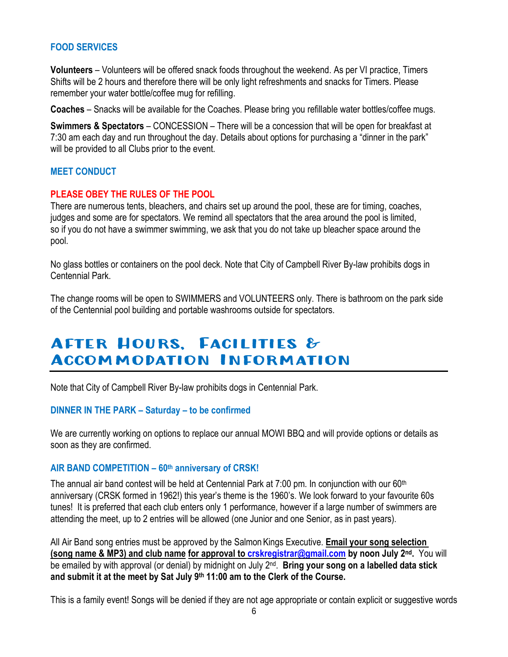#### **FOOD SERVICES**

**Volunteers** – Volunteers will be offered snack foods throughout the weekend. As per VI practice, Timers Shifts will be 2 hours and therefore there will be only light refreshments and snacks for Timers. Please remember your water bottle/coffee mug for refilling.

**Coaches** – Snacks will be available for the Coaches. Please bring you refillable water bottles/coffee mugs.

**Swimmers & Spectators** – CONCESSION – There will be a concession that will be open for breakfast at 7:30 am each day and run throughout the day. Details about options for purchasing a "dinner in the park" will be provided to all Clubs prior to the event.

#### **MEET CONDUCT**

#### **PLEASE OBEY THE RULES OF THE POOL**

There are numerous tents, bleachers, and chairs set up around the pool, these are for timing, coaches, judges and some are for spectators. We remind all spectators that the area around the pool is limited, so if you do not have a swimmer swimming, we ask that you do not take up bleacher space around the pool.

No glass bottles or containers on the pool deck. Note that City of Campbell River By-law prohibits dogs in Centennial Park.

The change rooms will be open to SWIMMERS and VOLUNTEERS only. There is bathroom on the park side of the Centennial pool building and portable washrooms outside for spectators.

### After Hours, Facilities & Accommodation Information

Note that City of Campbell River By-law prohibits dogs in Centennial Park.

#### **DINNER IN THE PARK – Saturday – to be confirmed**

We are currently working on options to replace our annual MOWI BBQ and will provide options or details as soon as they are confirmed.

#### **AIR BAND COMPETITION – 60th anniversary of CRSK!**

The annual air band contest will be held at Centennial Park at 7:00 pm. In conjunction with our 60<sup>th</sup> anniversary (CRSK formed in 1962!) this year's theme is the 1960's. We look forward to your favourite 60s tunes! It is preferred that each club enters only 1 performance, however if a large number of swimmers are attending the meet, up to 2 entries will be allowed (one Junior and one Senior, as in past years).

All Air Band song entries must be approved by the SalmonKings Executive. **Email your song selection (song name & MP3) and club name for approval to [crskregistrar@gmail.com](mailto:crskregistrar@gmail.com) by noon July 2nd.** You will be emailed by with approval (or denial) by midnight on July 2nd . **Bring your song on a labelled data stick and submit it at the meet by Sat July 9th 11:00 am to the Clerk of the Course.**

This is a family event! Songs will be denied if they are not age appropriate or contain explicit or suggestive words